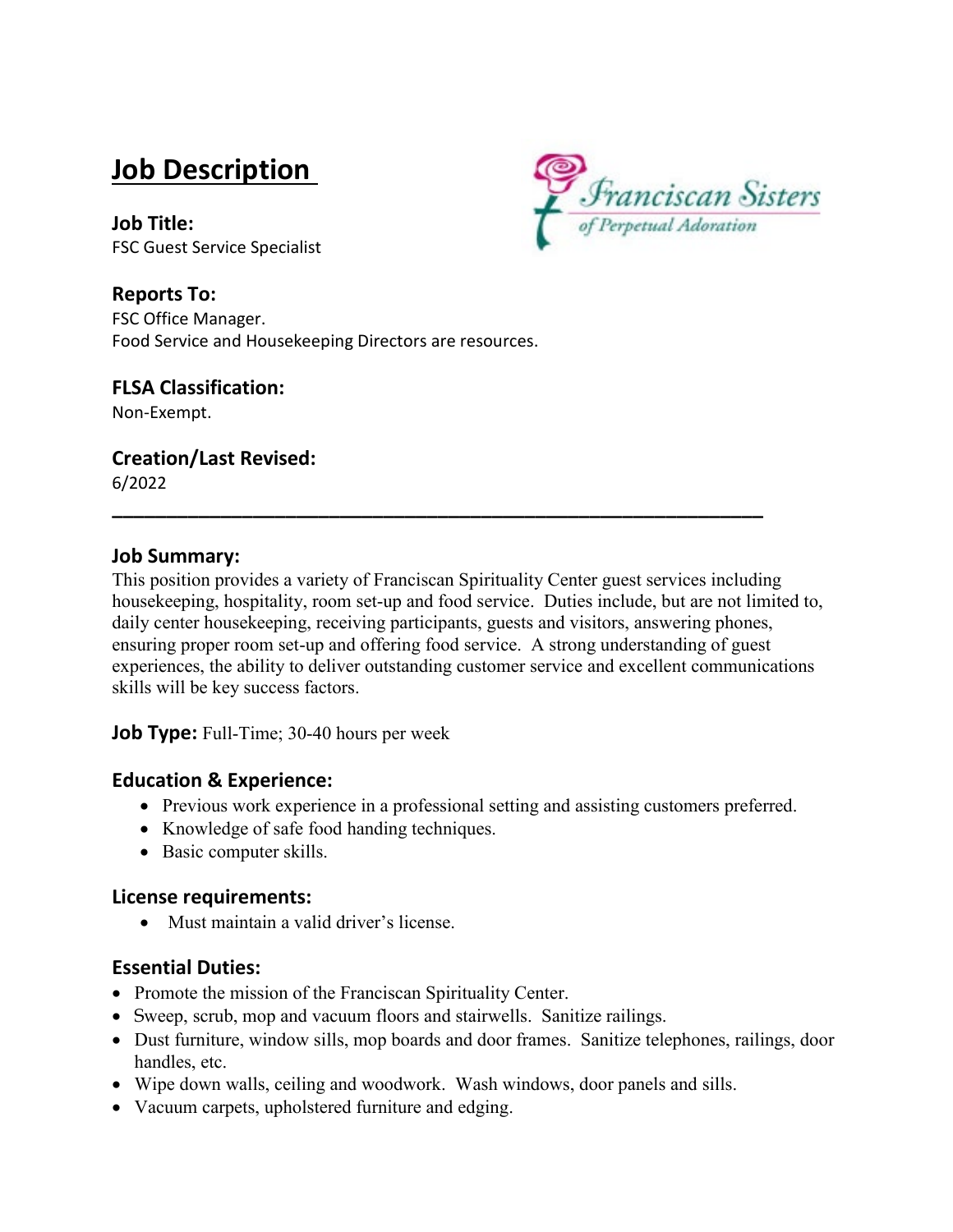# **Job Description**



**Job Title:** FSC Guest Service Specialist

**Reports To:** FSC Office Manager. Food Service and Housekeeping Directors are resources.

#### **FLSA Classification:**

Non-Exempt.

## **Creation/Last Revised:**

6/2022

## **Job Summary:**

This position provides a variety of Franciscan Spirituality Center guest services including housekeeping, hospitality, room set-up and food service. Duties include, but are not limited to, daily center housekeeping, receiving participants, guests and visitors, answering phones, ensuring proper room set-up and offering food service. A strong understanding of guest experiences, the ability to deliver outstanding customer service and excellent communications skills will be key success factors.

**\_\_\_\_\_\_\_\_\_\_\_\_\_\_\_\_\_\_\_\_\_\_\_\_\_\_\_\_\_\_\_\_\_\_\_\_\_\_\_\_\_\_\_\_\_\_\_\_\_\_\_\_\_\_\_\_\_\_\_\_**

**Job Type:** Full-Time; 30-40 hours per week

## **Education & Experience:**

- Previous work experience in a professional setting and assisting customers preferred.
- Knowledge of safe food handing techniques.
- Basic computer skills.

## **License requirements:**

• Must maintain a valid driver's license.

## **Essential Duties:**

- Promote the mission of the Franciscan Spirituality Center.
- Sweep, scrub, mop and vacuum floors and stairwells. Sanitize railings.
- Dust furniture, window sills, mop boards and door frames. Sanitize telephones, railings, door handles, etc.
- Wipe down walls, ceiling and woodwork. Wash windows, door panels and sills.
- Vacuum carpets, upholstered furniture and edging.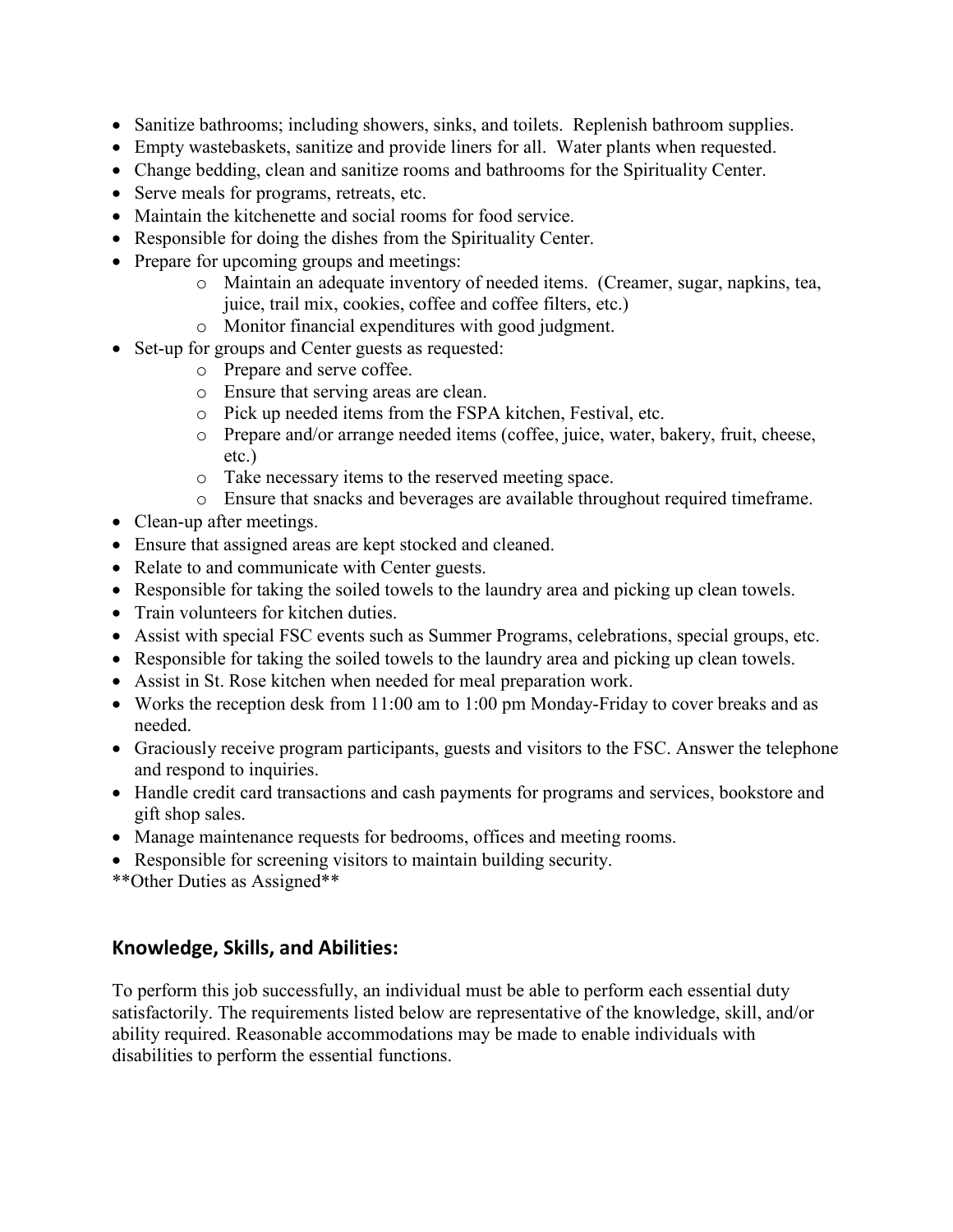- Sanitize bathrooms; including showers, sinks, and toilets. Replenish bathroom supplies.
- Empty wastebaskets, sanitize and provide liners for all. Water plants when requested.
- Change bedding, clean and sanitize rooms and bathrooms for the Spirituality Center.
- Serve meals for programs, retreats, etc.
- Maintain the kitchenette and social rooms for food service.
- Responsible for doing the dishes from the Spirituality Center.
- Prepare for upcoming groups and meetings:
	- o Maintain an adequate inventory of needed items. (Creamer, sugar, napkins, tea, juice, trail mix, cookies, coffee and coffee filters, etc.)
	- o Monitor financial expenditures with good judgment.
- Set-up for groups and Center guests as requested:
	- o Prepare and serve coffee.
	- o Ensure that serving areas are clean.
	- o Pick up needed items from the FSPA kitchen, Festival, etc.
	- o Prepare and/or arrange needed items (coffee, juice, water, bakery, fruit, cheese, etc.)
	- o Take necessary items to the reserved meeting space.
	- o Ensure that snacks and beverages are available throughout required timeframe.
- Clean-up after meetings.
- Ensure that assigned areas are kept stocked and cleaned.
- Relate to and communicate with Center guests.
- Responsible for taking the soiled towels to the laundry area and picking up clean towels.
- Train volunteers for kitchen duties.
- Assist with special FSC events such as Summer Programs, celebrations, special groups, etc.
- Responsible for taking the soiled towels to the laundry area and picking up clean towels.
- Assist in St. Rose kitchen when needed for meal preparation work.
- Works the reception desk from 11:00 am to 1:00 pm Monday-Friday to cover breaks and as needed.
- Graciously receive program participants, guests and visitors to the FSC. Answer the telephone and respond to inquiries.
- Handle credit card transactions and cash payments for programs and services, bookstore and gift shop sales.
- Manage maintenance requests for bedrooms, offices and meeting rooms.
- Responsible for screening visitors to maintain building security.
- \*\*Other Duties as Assigned\*\*

## **Knowledge, Skills, and Abilities:**

To perform this job successfully, an individual must be able to perform each essential duty satisfactorily. The requirements listed below are representative of the knowledge, skill, and/or ability required. Reasonable accommodations may be made to enable individuals with disabilities to perform the essential functions.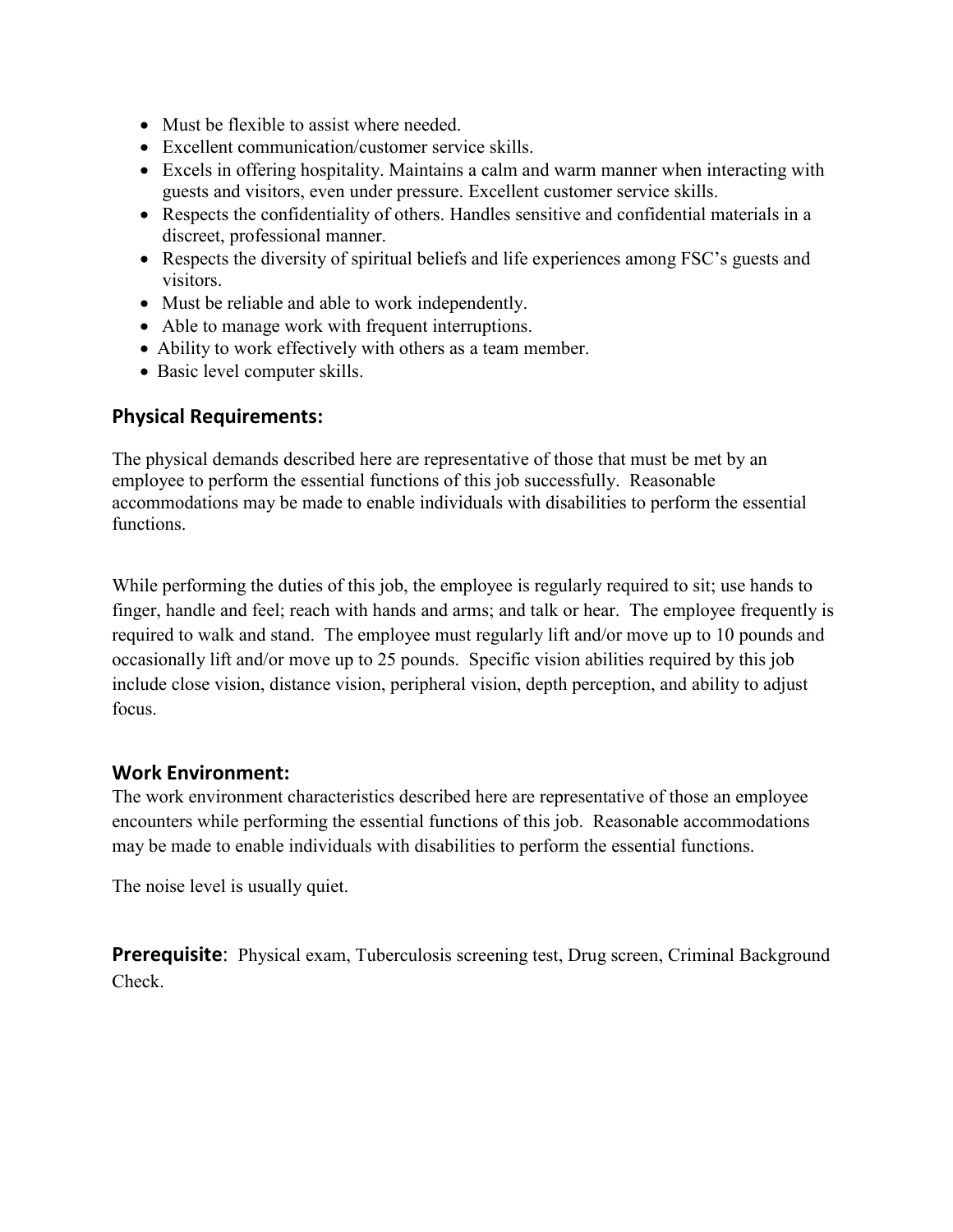- Must be flexible to assist where needed.
- Excellent communication/customer service skills.
- Excels in offering hospitality. Maintains a calm and warm manner when interacting with guests and visitors, even under pressure. Excellent customer service skills.
- Respects the confidentiality of others. Handles sensitive and confidential materials in a discreet, professional manner.
- Respects the diversity of spiritual beliefs and life experiences among FSC's guests and visitors.
- Must be reliable and able to work independently.
- Able to manage work with frequent interruptions.
- Ability to work effectively with others as a team member.
- Basic level computer skills.

#### **Physical Requirements:**

The physical demands described here are representative of those that must be met by an employee to perform the essential functions of this job successfully. Reasonable accommodations may be made to enable individuals with disabilities to perform the essential functions.

While performing the duties of this job, the employee is regularly required to sit; use hands to finger, handle and feel; reach with hands and arms; and talk or hear. The employee frequently is required to walk and stand. The employee must regularly lift and/or move up to 10 pounds and occasionally lift and/or move up to 25 pounds. Specific vision abilities required by this job include close vision, distance vision, peripheral vision, depth perception, and ability to adjust focus.

#### **Work Environment:**

The work environment characteristics described here are representative of those an employee encounters while performing the essential functions of this job. Reasonable accommodations may be made to enable individuals with disabilities to perform the essential functions.

The noise level is usually quiet.

**Prerequisite:** Physical exam, Tuberculosis screening test, Drug screen, Criminal Background Check.